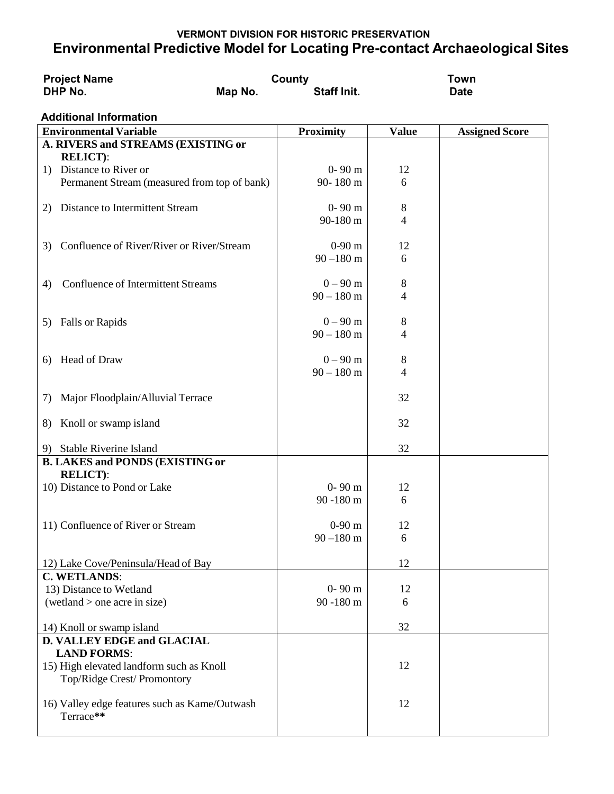## **VERMONT DIVISION FOR HISTORIC PRESERVATION Environmental Predictive Model for Locating Pre-contact Archaeological Sites**

| <b>Project Name</b><br>DHP No.                                 | County<br><b>Staff Init.</b><br>Map No. |                  | <b>Town</b><br><b>Date</b> |                       |
|----------------------------------------------------------------|-----------------------------------------|------------------|----------------------------|-----------------------|
|                                                                |                                         |                  |                            |                       |
| <b>Additional Information</b><br><b>Environmental Variable</b> |                                         | <b>Proximity</b> |                            |                       |
| A. RIVERS and STREAMS (EXISTING or                             |                                         |                  | <b>Value</b>               | <b>Assigned Score</b> |
| <b>RELICT:</b>                                                 |                                         |                  |                            |                       |
| 1) Distance to River or                                        |                                         | $0 - 90$ m       | 12                         |                       |
| Permanent Stream (measured from top of bank)                   |                                         | 90-180 m         | 6                          |                       |
|                                                                |                                         |                  |                            |                       |
| Distance to Intermittent Stream<br>2)                          |                                         | $0 - 90$ m       | $8\,$                      |                       |
|                                                                |                                         | 90-180 m         | 4                          |                       |
|                                                                |                                         |                  |                            |                       |
| Confluence of River/River or River/Stream<br>3)                |                                         | $0-90$ m         | 12                         |                       |
|                                                                |                                         | $90 - 180$ m     | 6                          |                       |
| <b>Confluence of Intermittent Streams</b>                      |                                         | $0 - 90$ m       | $8\,$                      |                       |
| 4)                                                             |                                         | $90 - 180$ m     | $\overline{4}$             |                       |
|                                                                |                                         |                  |                            |                       |
| Falls or Rapids<br>5)                                          |                                         | $0 - 90$ m       | 8                          |                       |
|                                                                |                                         | $90 - 180$ m     | 4                          |                       |
|                                                                |                                         |                  |                            |                       |
| Head of Draw<br>6)                                             |                                         | $0 - 90$ m       | 8                          |                       |
|                                                                |                                         | $90 - 180$ m     | 4                          |                       |
|                                                                |                                         |                  |                            |                       |
| Major Floodplain/Alluvial Terrace<br>7)                        |                                         |                  | 32                         |                       |
|                                                                |                                         |                  | 32                         |                       |
| Knoll or swamp island<br>8)                                    |                                         |                  |                            |                       |
| <b>Stable Riverine Island</b><br>9)                            |                                         |                  | 32                         |                       |
| <b>B. LAKES and PONDS (EXISTING or</b>                         |                                         |                  |                            |                       |
| <b>RELICT:</b>                                                 |                                         |                  |                            |                       |
| 10) Distance to Pond or Lake                                   |                                         | $0 - 90$ m       | 12                         |                       |
|                                                                |                                         | 90-180 m         | 6                          |                       |
|                                                                |                                         |                  |                            |                       |
| 11) Confluence of River or Stream                              |                                         | $0-90$ m         | 12                         |                       |
|                                                                |                                         | $90 - 180$ m     | 6                          |                       |
|                                                                |                                         |                  | 12                         |                       |
| 12) Lake Cove/Peninsula/Head of Bay<br><b>C. WETLANDS:</b>     |                                         |                  |                            |                       |
| 13) Distance to Wetland                                        |                                         | $0 - 90$ m       | 12                         |                       |
| wetaland > one acre in size)                                   |                                         | 90 -180 m        | 6                          |                       |
|                                                                |                                         |                  |                            |                       |
| 14) Knoll or swamp island                                      |                                         |                  | 32                         |                       |
| D. VALLEY EDGE and GLACIAL                                     |                                         |                  |                            |                       |
| <b>LAND FORMS:</b>                                             |                                         |                  |                            |                       |
| 15) High elevated landform such as Knoll                       |                                         |                  | 12                         |                       |
| Top/Ridge Crest/ Promontory                                    |                                         |                  |                            |                       |
|                                                                |                                         |                  |                            |                       |
| 16) Valley edge features such as Kame/Outwash<br>Terrace**     |                                         |                  | 12                         |                       |
|                                                                |                                         |                  |                            |                       |
|                                                                |                                         |                  |                            |                       |